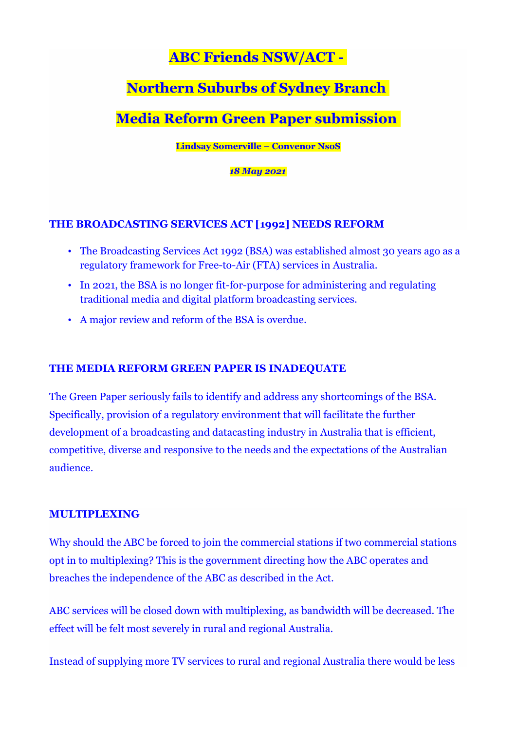## **ABC Friends NSW/ACT -**

# **Northern Suburbs of Sydney Branch**

## **Media Reform Green Paper submission**

**Lindsay Somerville – Convenor NsoS**

*18 May 2021*

### **THE BROADCASTING SERVICES ACT [1992] NEEDS REFORM**

- The Broadcasting Services Act 1992 (BSA) was established almost 30 years ago as a regulatory framework for Free-to-Air (FTA) services in Australia.
- In 2021, the BSA is no longer fit-for-purpose for administering and regulating traditional media and digital platform broadcasting services.
- A major review and reform of the BSA is overdue.

### **THE MEDIA REFORM GREEN PAPER IS INADEQUATE**

The Green Paper seriously fails to identify and address any shortcomings of the BSA. Specifically, provision of a regulatory environment that will facilitate the further development of a broadcasting and datacasting industry in Australia that is efficient, competitive, diverse and responsive to the needs and the expectations of the Australian audience.

#### **MULTIPLEXING**

Why should the ABC be forced to join the commercial stations if two commercial stations opt in to multiplexing? This is the government directing how the ABC operates and breaches the independence of the ABC as described in the Act.

ABC services will be closed down with multiplexing, as bandwidth will be decreased. The effect will be felt most severely in rural and regional Australia.

Instead of supplying more TV services to rural and regional Australia there would be less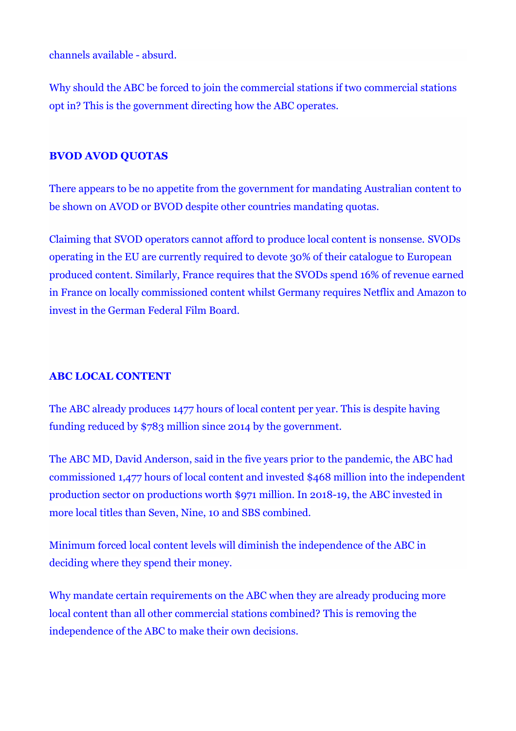channels available - absurd.

Why should the ABC be forced to join the commercial stations if two commercial stations opt in? This is the government directing how the ABC operates.

### **BVOD AVOD QUOTAS**

There appears to be no appetite from the government for mandating Australian content to be shown on AVOD or BVOD despite other countries mandating quotas.

Claiming that SVOD operators cannot afford to produce local content is nonsense. SVODs operating in the EU are currently required to devote 30% of their catalogue to European produced content. Similarly, France requires that the SVODs spend 16% of revenue earned in France on locally commissioned content whilst Germany requires Netflix and Amazon to invest in the German Federal Film Board.

#### **ABC LOCAL CONTENT**

The ABC already produces 1477 hours of local content per year. This is despite having funding reduced by \$783 million since 2014 by the government.

The ABC MD, David Anderson, said in the five years prior to the pandemic, the ABC had commissioned 1,477 hours of local content and invested \$468 million into the independent production sector on productions worth \$971 million. In 2018-19, the ABC invested in more local titles than Seven, Nine, 10 and SBS combined.

Minimum forced local content levels will diminish the independence of the ABC in deciding where they spend their money.

Why mandate certain requirements on the ABC when they are already producing more local content than all other commercial stations combined? This is removing the independence of the ABC to make their own decisions.